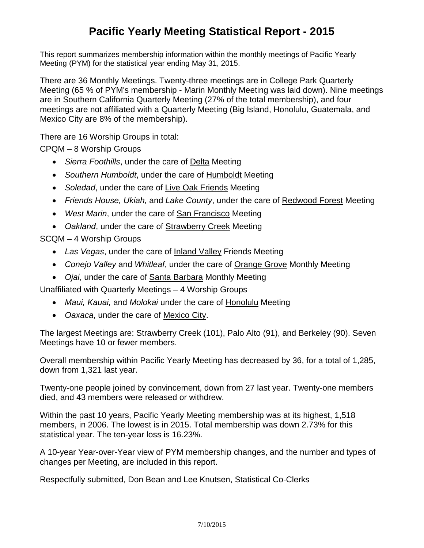## **Pacific Yearly Meeting Statistical Report - 2015**

This report summarizes membership information within the monthly meetings of Pacific Yearly Meeting (PYM) for the statistical year ending May 31, 2015.

There are 36 Monthly Meetings. Twenty-three meetings are in College Park Quarterly Meeting (65 % of PYM's membership - Marin Monthly Meeting was laid down). Nine meetings are in Southern California Quarterly Meeting (27% of the total membership), and four meetings are not affiliated with a Quarterly Meeting (Big Island, Honolulu, Guatemala, and Mexico City are 8% of the membership).

There are 16 Worship Groups in total:

CPQM – 8 Worship Groups

- *Sierra Foothills*, under the care of Delta Meeting
- *Southern Humboldt*, under the care of Humboldt Meeting
- *Soledad*, under the care of Live Oak Friends Meeting
- *Friends House, Ukiah,* and *Lake County*, under the care of Redwood Forest Meeting
- *West Marin*, under the care of San Francisco Meeting
- *Oakland*, under the care of Strawberry Creek Meeting

SCQM – 4 Worship Groups

- *Las Vegas*, under the care of Inland Valley Friends Meeting
- *Conejo Valley* and *Whitleaf*, under the care of Orange Grove Monthly Meeting
- *Ojai*, under the care of Santa Barbara Monthly Meeting

Unaffiliated with Quarterly Meetings – 4 Worship Groups

- *Maui, Kauai,* and *Molokai* under the care of Honolulu Meeting
- *Oaxaca*, under the care of Mexico City.

The largest Meetings are: Strawberry Creek (101), Palo Alto (91), and Berkeley (90). Seven Meetings have 10 or fewer members.

Overall membership within Pacific Yearly Meeting has decreased by 36, for a total of 1,285, down from 1,321 last year.

Twenty-one people joined by convincement, down from 27 last year. Twenty-one members died, and 43 members were released or withdrew.

Within the past 10 years, Pacific Yearly Meeting membership was at its highest, 1,518 members, in 2006. The lowest is in 2015. Total membership was down 2.73% for this statistical year. The ten-year loss is 16.23%.

A 10-year Year-over-Year view of PYM membership changes, and the number and types of changes per Meeting, are included in this report.

Respectfully submitted, Don Bean and Lee Knutsen, Statistical Co-Clerks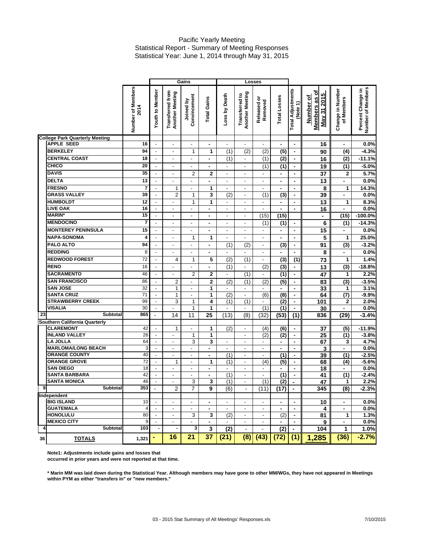## Pacific Yearly Meeting Statistical Report - Summary of Meeting Responses Statistical Year: June 1, 2014 through May 31, 2015

|    |                                                   |                           |                                            |                                     | Gains                     |                    | Losses                   |                                            |                          |                  |                                      |                                           |                                |                                        |
|----|---------------------------------------------------|---------------------------|--------------------------------------------|-------------------------------------|---------------------------|--------------------|--------------------------|--------------------------------------------|--------------------------|------------------|--------------------------------------|-------------------------------------------|--------------------------------|----------------------------------------|
|    |                                                   | Number of Members<br>2014 | <b>Youth to Member</b>                     | Transferred from<br>Another Meeting | Convincement<br>Joined by | <b>Total Gains</b> | Loss by Death            | <b>Another Meeting</b><br>S<br>Transferred | ō<br>Removed<br>Released | Total Losses     | <b>Total Adjustments</b><br>(Note 1) | Members as of<br>May 31 2015<br>Number of | Change in Number<br>of Members | Number of Members<br>Percent Change in |
|    | <b>College Park Quarterly Meeting</b>             |                           |                                            |                                     |                           |                    |                          |                                            |                          |                  |                                      |                                           |                                |                                        |
|    | <b>APPLE SEED</b>                                 | 16                        |                                            |                                     |                           |                    |                          |                                            |                          |                  |                                      | 16                                        |                                | 0.0%                                   |
|    | <b>BERKELEY</b>                                   | 94                        | $\blacksquare$                             | $\overline{\phantom{a}}$            | 1                         | 1                  | (1)                      | $\overline{(2)}$                           | $\overline{(2)}$         | $\overline{(5)}$ | $\blacksquare$                       | 90                                        | $\overline{(4)}$               | $-4.3%$                                |
|    | <b>CENTRAL COAST</b>                              | 18                        | $\overline{\phantom{a}}$                   | $\qquad \qquad \blacksquare$        | $\overline{\phantom{a}}$  | ۰                  | (1)                      | $\overline{\phantom{a}}$                   | (1)                      | $\overline{(2)}$ | $\blacksquare$                       | 16                                        | $\overline{(2)}$               | $-11.1%$                               |
|    | CHICO                                             | 20                        | $\blacksquare$                             | $\overline{\phantom{a}}$            | $\overline{\phantom{a}}$  | $\blacksquare$     | $\blacksquare$           | ä,                                         | $\overline{(1)}$         | $\overline{(1)}$ | $\blacksquare$                       | 19                                        | (1)                            | $-5.0%$                                |
|    | <b>DAVIS</b>                                      | 35                        | $\blacksquare$                             | $\blacksquare$                      | $\overline{2}$            | $\mathbf 2$        | $\overline{\phantom{a}}$ | ä,                                         |                          |                  |                                      | 37                                        | 2                              | 5.7%                                   |
|    | <b>DELTA</b>                                      | 13                        | $\overline{\phantom{a}}$                   | $\blacksquare$                      | ÷,                        | $\blacksquare$     | $\overline{\phantom{0}}$ | ä,                                         | $\overline{\phantom{a}}$ | $\blacksquare$   | $\blacksquare$                       | 13                                        | $\blacksquare$                 | 0.0%                                   |
|    | <b>FRESNO</b>                                     | $\overline{7}$            | $\blacksquare$                             | $\mathbf{1}$                        | $\frac{1}{2}$             | 1                  | $\frac{1}{2}$            |                                            |                          |                  | $\blacksquare$                       | 8                                         | 1                              | 14.3%                                  |
|    | <b>GRASS VALLEY</b>                               | 39                        | $\overline{a}$                             | $\overline{2}$                      | 1                         | 3                  | (2)                      | ä,                                         | (1)                      | $\overline{3}$   | $\blacksquare$                       | 39                                        | ÷                              | 0.0%                                   |
|    | <b>HUMBOLDT</b>                                   | 12                        | $\blacksquare$                             | $\overline{\phantom{a}}$            | 1                         | 1                  | $\overline{\phantom{a}}$ | $\overline{\phantom{a}}$                   | $\blacksquare$           | $\blacksquare$   | $\blacksquare$                       | $\overline{13}$                           | 1                              | 8.3%                                   |
|    | <b>LIVE OAK</b>                                   | 16                        | $\overline{\phantom{a}}$                   | $\overline{\phantom{a}}$            | $\overline{\phantom{a}}$  | $\blacksquare$     | $\overline{\phantom{a}}$ | $\overline{\phantom{0}}$                   | $\overline{\phantom{a}}$ | $\blacksquare$   | $\blacksquare$                       | 16                                        | ÷                              | 0.0%                                   |
|    | <b>MARIN*</b>                                     | 15                        | $\overline{\phantom{a}}$                   | $\blacksquare$                      | $\blacksquare$            | $\blacksquare$     | $\overline{\phantom{a}}$ | $\overline{\phantom{a}}$                   | (15)                     | (15)             |                                      | $\blacksquare$                            | (15)                           | $-100.0%$                              |
|    | <b>MENDOCINO</b>                                  | 7                         | $\overline{\phantom{a}}$                   | L,                                  | $\overline{\phantom{a}}$  | $\blacksquare$     | $\overline{a}$           | ä,                                         | (1)                      | (1)              | $\blacksquare$                       | 6                                         | $\overline{(1)}$               | $-14.3%$                               |
|    | <b>MONTEREY PENINSULA</b>                         | 15                        | $\blacksquare$                             | $\overline{\phantom{a}}$            | $\overline{\phantom{a}}$  | $\blacksquare$     | $\blacksquare$           | $\blacksquare$                             | $\overline{\phantom{a}}$ | $\blacksquare$   | $\blacksquare$                       | 15                                        | $\blacksquare$                 | 0.0%                                   |
|    | <b>NAPA-SONOMA</b>                                | 4                         | $\overline{\phantom{a}}$                   | $\blacksquare$                      | 1                         | 1                  | $\blacksquare$           |                                            |                          |                  | $\blacksquare$                       | 5                                         | $\mathbf{1}$                   | 25.0%                                  |
|    | PALO ALTO                                         | 94                        | $\overline{\phantom{a}}$                   | $\blacksquare$                      | $\overline{a}$            | ٠                  | (1)                      | (2)                                        | $\blacksquare$           | $\overline{3}$   | $\blacksquare$                       | 91                                        | $\overline{3}$                 | $-3.2%$                                |
|    | <b>REDDING</b>                                    | 8                         | $\blacksquare$                             | $\blacksquare$                      | $\overline{\phantom{a}}$  | ۰                  |                          |                                            |                          |                  |                                      | 8                                         | ä,                             | 0.0%                                   |
|    | <b>REDWOOD FOREST</b>                             | 72                        | $\Box$                                     | 4                                   | 1                         | 5                  | $\overline{(2)}$         |                                            | $\blacksquare$           | $\overline{3}$   |                                      |                                           | 1                              | 1.4%                                   |
|    | <b>RENO</b>                                       | 16                        |                                            |                                     |                           |                    |                          | (1)                                        |                          |                  | (1)                                  | 73                                        |                                | $-18.8%$                               |
|    |                                                   |                           | $\blacksquare$                             | $\qquad \qquad \blacksquare$        | $\frac{1}{2}$             |                    | $\overline{(1)}$         | $\frac{1}{2}$                              | (2)                      | (3)              | $\blacksquare$                       | 13                                        | (3)                            |                                        |
|    | <b>SACRAMENTO</b>                                 | 46                        | $\blacksquare$                             | $\overline{\phantom{a}}$            | $\overline{2}$            | $\overline{2}$     | $\overline{\phantom{a}}$ | (1)                                        | $\overline{\phantom{a}}$ | (1)              | $\blacksquare$                       | 47                                        | 1                              | 2.2%                                   |
|    | <b>SAN FRANCISCO</b>                              | 86                        | $\frac{1}{2}$                              | $\overline{2}$                      | L,                        | $\mathbf 2$        | (2)                      | (1)                                        | (2)                      | (5)              | $\blacksquare$                       | $\overline{83}$                           | $\overline{3}$                 | $-3.5%$                                |
|    | <b>SAN JOSE</b>                                   | 32                        | $\Box$                                     | $\mathbf{1}$                        | $\overline{\phantom{a}}$  | 1                  | $\overline{\phantom{a}}$ | $\overline{\phantom{a}}$                   | $\overline{\phantom{a}}$ | ٠                | $\blacksquare$                       | 33                                        | 1                              | 3.1%                                   |
|    | <b>SANTA CRUZ</b>                                 | 71                        | $\overline{\phantom{a}}$                   | $\mathbf{1}$                        | $\blacksquare$            | $\mathbf{1}$       | (2)                      | ä,                                         | $\overline{(6)}$         | (8)              | $\blacksquare$                       | 64                                        | $\overline{\text{(7)}}$        | $-9.9%$                                |
|    | <b>STRAWBERRY CREEK</b><br><b>VISALIA</b>         | 99<br>30                  | $\blacksquare$                             | 3                                   | 1                         | 4                  | (1)                      | (1)                                        | $\blacksquare$           | $\overline{(2)}$ | $\blacksquare$                       | 101                                       | $\mathbf 2$<br>÷               | 2.0%                                   |
| 23 | Subtotal                                          | 865                       | $\overline{\phantom{a}}$<br>$\overline{a}$ | L,<br>14                            | 1<br>11                   | 1<br>25            | ä,                       | $\frac{1}{2}$                              | (1)                      | $\overline{(1)}$ | $\blacksquare$                       | 30                                        |                                | 0.0%                                   |
|    |                                                   |                           |                                            |                                     |                           |                    | (13)                     | (8)                                        | (32)                     | (53)             | (1)                                  | 836                                       | (29)                           | $-3.4%$                                |
|    | Southern California Quarterly<br><b>CLAREMONT</b> | 42                        | $\overline{\phantom{a}}$                   | $\mathbf{1}$                        | $\frac{1}{2}$             | $\mathbf{1}$       | (2)                      | ä,                                         | (4)                      | (6)              | $\blacksquare$                       | 37                                        | (5)                            | $-11.9%$                               |
|    | <b>INLAND VALLEY</b>                              | 26                        | $\blacksquare$                             | $\overline{\phantom{a}}$            | 1                         | 1                  |                          | $\blacksquare$                             | (2)                      | $\overline{(2)}$ | $\blacksquare$                       | $\overline{25}$                           | $\overline{(1)}$               | $-3.8%$                                |
|    | <b>LA JOLLA</b>                                   | 64                        | $\overline{\phantom{a}}$                   | $\overline{\phantom{a}}$            | 3                         | 3                  | $\overline{\phantom{a}}$ | ä,                                         | $\overline{\phantom{a}}$ | $\blacksquare$   | $\blacksquare$                       | 67                                        | 3                              | 4.7%                                   |
|    | <b>MARLOMA/LONG BEACH</b>                         | 3                         | $\overline{\phantom{a}}$                   | $\blacksquare$                      | $\overline{\phantom{a}}$  | $\blacksquare$     | $\overline{\phantom{a}}$ | $\overline{\phantom{0}}$                   | $\overline{\phantom{a}}$ | $\blacksquare$   | $\blacksquare$                       | 3                                         | ÷                              | 0.0%                                   |
|    | <b>ORANGE COUNTY</b>                              | 40                        | $\Box$                                     | $\blacksquare$                      | $\overline{\phantom{a}}$  | $\blacksquare$     | (1)                      | $\blacksquare$                             | $\blacksquare$           | (1)              | $\blacksquare$                       | 39                                        | (1)                            | $-2.5%$                                |
|    | <b>ORANGE GROVE</b>                               | 72                        | $\blacksquare$                             | $\mathbf{1}$                        | $\overline{\phantom{a}}$  | 1                  | (1)                      | L,                                         | (4)                      | $\overline{(5)}$ | $\blacksquare$                       | 68                                        | $\overline{(4)}$               | $-5.6%$                                |
|    | <b>SAN DIEGO</b>                                  | 18                        | $\blacksquare$                             | $\blacksquare$                      | $\blacksquare$            | $\blacksquare$     |                          | $\blacksquare$                             |                          |                  |                                      | 18                                        |                                | 0.0%                                   |
|    | <b>SANTA BARBARA</b>                              | 42                        | $\blacksquare$                             | $\overline{\phantom{a}}$            | $\frac{1}{2}$             | $\blacksquare$     | (1)                      | $\frac{1}{2}$                              |                          | (1)              | $\blacksquare$                       | 41                                        | (1)                            | $-2.4%$                                |
|    | <b>SANTA MONICA</b>                               | 46                        | $\overline{\phantom{a}}$                   | $\overline{\phantom{a}}$            | 3                         | 3                  | (1)                      | $\overline{\phantom{a}}$                   | (1)                      | $\overline{(2)}$ | $\blacksquare$                       | 47                                        | 1                              | 2.2%                                   |
| 9  | <b>Subtotal</b>                                   | 353                       |                                            | $\overline{2}$                      | 7                         | 9                  | (6)                      |                                            | (11)                     | (17)             |                                      | 345                                       | (8)                            | $-2.3%$                                |
|    | Independent                                       |                           |                                            |                                     |                           |                    |                          |                                            |                          |                  |                                      |                                           |                                |                                        |
|    | <b>BIG ISLAND</b>                                 | 10                        | $\overline{\phantom{a}}$                   |                                     |                           |                    |                          |                                            |                          |                  | $\blacksquare$                       | 10                                        | $\blacksquare$                 | 0.0%                                   |
|    | <b>GUATEMALA</b>                                  | 4                         | $\overline{\phantom{a}}$                   | $\overline{\phantom{a}}$            | ۰                         | ٠                  | ٠                        | $\overline{\phantom{a}}$                   | $\overline{\phantom{a}}$ | ٠.               | $\blacksquare$                       | 4                                         | ٠                              | 0.0%                                   |
|    | <b>HONOLULU</b>                                   | 80                        | $\blacksquare$                             | $\overline{\phantom{a}}$            | 3                         | 3                  | (2)                      | $\blacksquare$                             | $\blacksquare$           | (2)              | $\blacksquare$                       | 81                                        | 1                              | 1.3%                                   |
|    | <b>MEXICO CITY</b>                                | 9                         | $\overline{\phantom{a}}$                   | $\blacksquare$                      | $\overline{\phantom{a}}$  | $\blacksquare$     | $\blacksquare$           | $\overline{\phantom{a}}$                   |                          | ٠                | $\blacksquare$                       | 9                                         | $\blacksquare$                 | 0.0%                                   |
| 4  | Subtotal                                          | 103                       | $\blacksquare$                             | $\blacksquare$                      | 3                         | 3                  | (2)                      | $\overline{\phantom{a}}$                   | $\overline{\phantom{a}}$ | (2)              | $\blacksquare$                       | 104                                       | 1                              | 1.0%                                   |
| 36 | <b>TOTALS</b>                                     | 1,321                     | ۰                                          | 16                                  | 21                        | 37                 | (21)                     | (8)                                        | (43)                     | (72)             | (1)                                  | 1,285                                     | (36)                           | $-2.7%$                                |

**Note1: Adjustments include gains and losses that** 

**occurred in prior years and were not reported at that time.**

**\* Marin MM was laid down during the Statistical Year. Although members may have gone to other MM/WGs, they have not appeared in Meetings within PYM as either "transfers in" or "new members."**